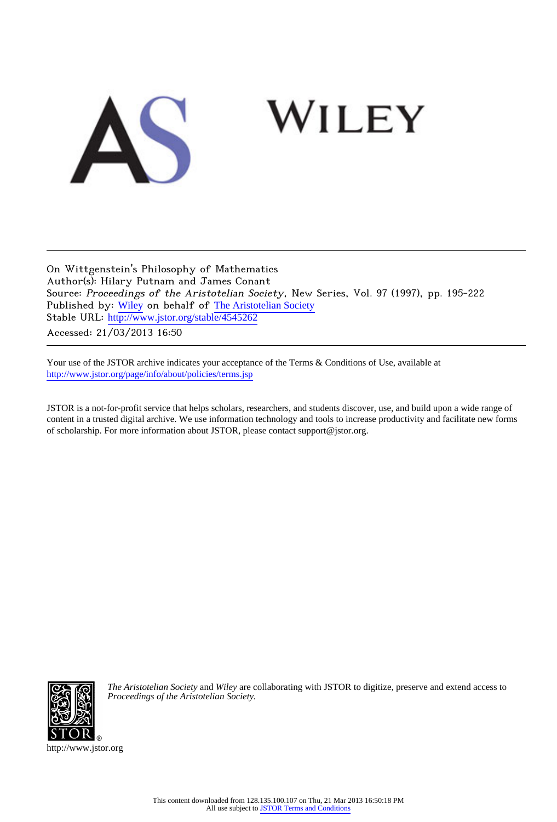AS

# WILEY

On Wittgenstein's Philosophy of Mathematics Author(s): Hilary Putnam and James Conant Source: Proceedings of the Aristotelian Society, New Series, Vol. 97 (1997), pp. 195-222 Published by: [Wiley](http://www.jstor.org/action/showPublisher?publisherCode=black) on behalf of [The Aristotelian Society](http://www.jstor.org/action/showPublisher?publisherCode=aristotelian) Stable URL: [http://www.jstor.org/stable/4545262](http://www.jstor.org/stable/4545262?origin=JSTOR-pdf)

Accessed: 21/03/2013 16:50

Your use of the JSTOR archive indicates your acceptance of the Terms & Conditions of Use, available at <http://www.jstor.org/page/info/about/policies/terms.jsp>

JSTOR is a not-for-profit service that helps scholars, researchers, and students discover, use, and build upon a wide range of content in a trusted digital archive. We use information technology and tools to increase productivity and facilitate new forms of scholarship. For more information about JSTOR, please contact support@jstor.org.



*The Aristotelian Society* and *Wiley* are collaborating with JSTOR to digitize, preserve and extend access to *Proceedings of the Aristotelian Society.*

http://www.jstor.org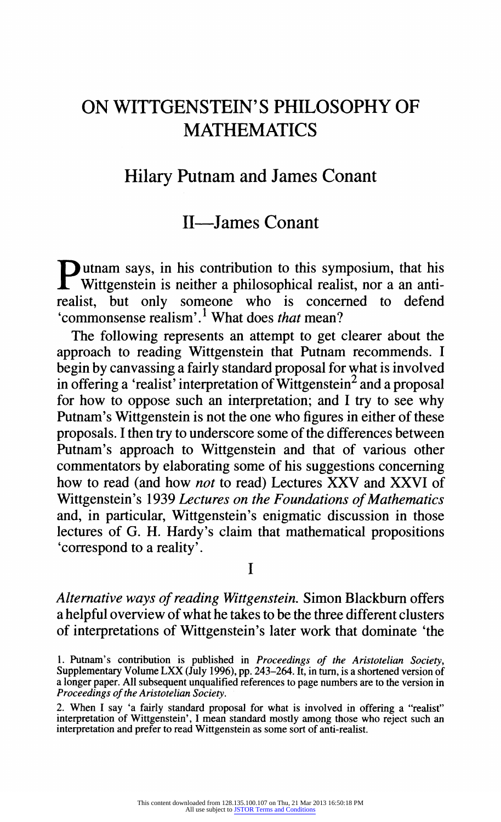## **ON WITTGENSTEIN'S PHILOSOPHY OF MATHEMATICS**

### **Hilary Putnam and James Conant**

## **II-James Conant**

**Putnam says, in his contribution to this symposium, that his Wittgenstein is neither a philosophical realist, nor a an antirealist, but only someone who is concerned to defend 'commonsense realism'.' What does that mean?** 

**The following represents an attempt to get clearer about the approach to reading Wittgenstein that Putnam recommends. I begin by canvassing a fairly standard proposal for what is involved in offering a 'realist' interpretation of Wittgenstein2 and a proposal for how to oppose such an interpretation; and I try to see why Putnam's Wittgenstein is not the one who figures in either of these proposals. I then try to underscore some of the differences between Putnam's approach to Wittgenstein and that of various other commentators by elaborating some of his suggestions concerning how to read (and how not to read) Lectures XXV and XXVI of Wittgenstein's 1939 Lectures on the Foundations of Mathematics and, in particular, Wittgenstein's enigmatic discussion in those lectures of G. H. Hardy's claim that mathematical propositions correspond to a reality'.** 

#### T

**Alternative ways of reading Wittgenstein. Simon Blackburn offers a helpful overview of what he takes to be the three different clusters of interpretations of Wittgenstein's later work that dominate 'the** 

**<sup>1.</sup> Putnam's contribution is published in Proceedings of the Aristotelian Society,**  Supplementary Volume LXX (July 1996), pp. 243-264. It, in turn, is a shortened version of **a longer paper. All subsequent unqualified references to page numbers are to the version in Proceedings of the Aristotelian Society.** 

<sup>2.</sup> When I say 'a fairly standard proposal for what is involved in offering a "realist" interpretation of Wittgenstein', I mean standard mostly among those who reject such an interpretation and prefer to read Wittgenstein a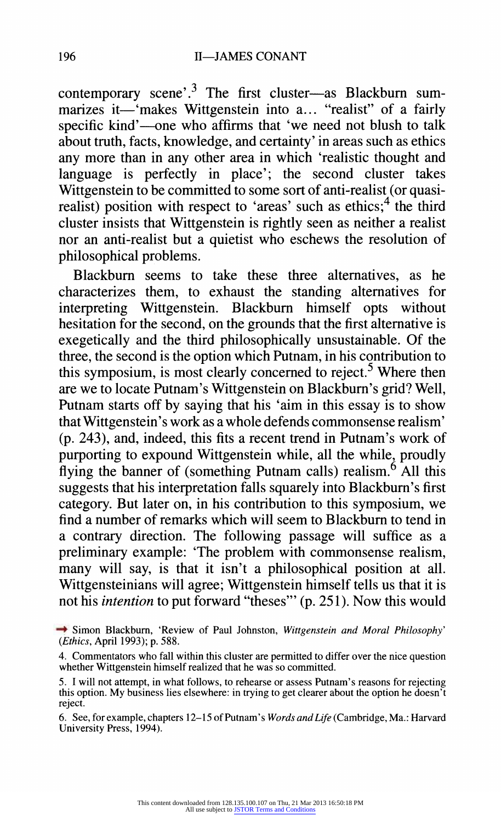**contemporary scene'.3 The first cluster-as Blackburn sum**marizes it—'makes Wittgenstein into a... "realist" of a fairly specific kind'—one who affirms that 'we need not blush to talk **about truth, facts, knowledge, and certainty' in areas such as ethics any more than in any other area in which 'realistic thought and language is perfectly in place'; the second cluster takes Wittgenstein to be committed to some sort of anti-realist (or quasi**realist) position with respect to 'areas' such as ethics;<sup>4</sup> the third **cluster insists that Wittgenstein is rightly seen as neither a realist nor an anti-realist but a quietist who eschews the resolution of philosophical problems.** 

**Blackburn seems to take these three alternatives, as he characterizes them, to exhaust the standing alternatives for interpreting Wittgenstein. Blackburn himself opts without hesitation for the second, on the grounds that the first alternative is exegetically and the third philosophically unsustainable. Of the three, the second is the option which Putnam, in his contribution to this symposium, is most clearly concerned to reject.5 Where then are we to locate Putnam's Wittgenstein on Blackburn's grid? Well, Putnam starts off by saying that his 'aim in this essay is to show that Wittgenstein's work as a whole defends commonsense realism' (p. 243), and, indeed, this fits a recent trend in Putnam's work of purporting to expound Wittgenstein while, all the while, proudly flying the banner of (something Putnam calls) realism.6 All this suggests that his interpretation falls squarely into Blackburn's first category. But later on, in his contribution to this symposium, we find a number of remarks which will seem to Blackburn to tend in a contrary direction. The following passage will suffice as a preliminary example: 'The problem with commonsense realism, many will say, is that it isn't a philosophical position at all. Wittgensteinians will agree; Wittgenstein himself tells us that it is not his intention to put forward "theses"' (p. 251). Now this would** 

<sup>&</sup>lt;sup>3</sup> Simon Blackburn, 'Review of Paul Johnston, Wittgenstein and Moral Philosophy' **(Ethics, April 1993); p. 588.** 

**<sup>4.</sup> Commentators who fall within this cluster are permitted to differ over the nice question whether Wittgenstein himself realized that he was so committed.** 

**<sup>5.</sup> I will not attempt, in what follows, to rehearse or assess Putnam's reasons for rejecting this option. My business lies elsewhere: in trying to get clearer about the option he doesn't reject.** 

**<sup>6.</sup> See, for example, chapters 12-15 of Putnam's Words and Life (Cambridge, Ma.: Harvard University Press, 1994).**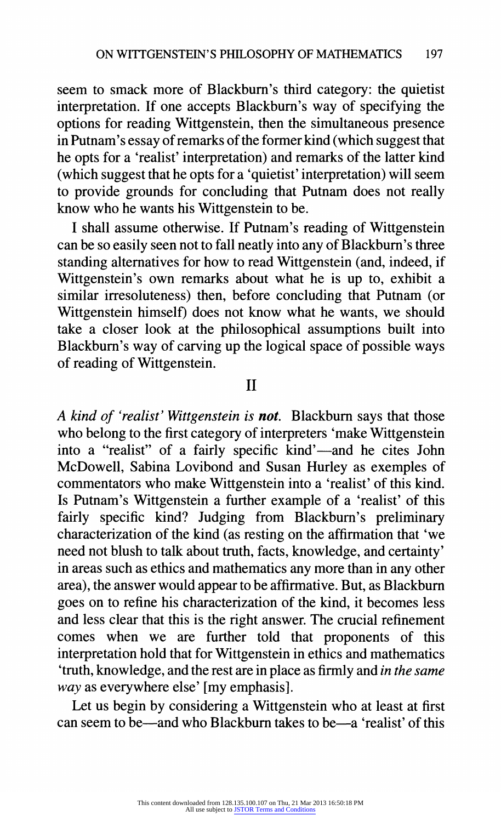**seem to smack more of Blackburn's third category: the quietist interpretation. If one accepts Blackburn's way of specifying the options for reading Wittgenstein, then the simultaneous presence in Putnam's essay of remarks of the former kind (which suggest that he opts for a 'realist' interpretation) and remarks of the latter kind (which suggest that he opts for a 'quietist' interpretation) will seem to provide grounds for concluding that Putnam does not really know who he wants his Wittgenstein to be.** 

**I shall assume otherwise. If Putnam's reading of Wittgenstein can be so easily seen not to fall neatly into any of Blackburn's three standing alternatives for how to read Wittgenstein (and, indeed, if Wittgenstein's own remarks about what he is up to, exhibit a similar irresoluteness) then, before concluding that Putnam (or Wittgenstein himself) does not know what he wants, we should take a closer look at the philosophical assumptions built into Blackburn's way of carving up the logical space of possible ways of reading of Wittgenstein.** 

#### **II**

**A kind of 'realist' Wittgenstein is not. Blackburn says that those who belong to the first category of interpreters 'make Wittgenstein**  into a "realist" of a fairly specific kind'—and he cites John **McDowell, Sabina Lovibond and Susan Hurley as exemples of commentators who make Wittgenstein into a 'realist' of this kind. Is Putnam's Wittgenstein a further example of a 'realist' of this fairly specific kind? Judging from Blackburn's preliminary characterization of the kind (as resting on the affirmation that 'we need not blush to talk about truth, facts, knowledge, and certainty' in areas such as ethics and mathematics any more than in any other area), the answer would appear to be affirmative. But, as Blackburn goes on to refine his characterization of the kind, it becomes less and less clear that this is the right answer. The crucial refinement comes when we are further told that proponents of this interpretation hold that for Wittgenstein in ethics and mathematics 'truth, knowledge, and the rest are in place as firmly and in the same way as everywhere else' [my emphasis].** 

**Let us begin by considering a Wittgenstein who at least at first**  can seem to be—and who Blackburn takes to be—a 'realist' of this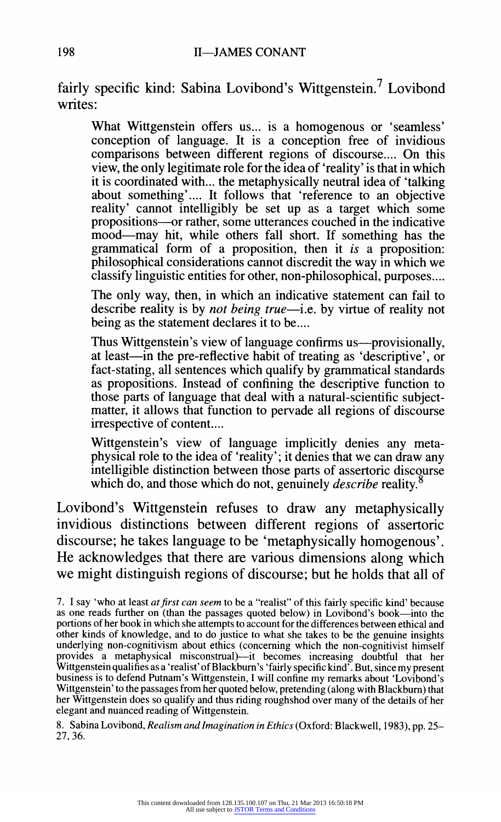**fairly specific kind: Sabina Lovibond's Wittgenstein.7 Lovibond writes:** 

**What Wittgenstein offers us... is a homogenous or 'seamless' conception of language. It is a conception free of invidious**  comparisons between different regions of discourse.... On this **view, the only legitimate role for the idea of 'reality' is that in which it is coordinated with... the metaphysically neutral idea of 'talking about something'.... It follows that 'reference to an objective reality' cannot intelligibly be set up as a target which some propositions-or rather, some utterances couched in the indicative mood-may hit, while others fall short. If something has the grammatical form of a proposition, then it is a proposition: philosophical considerations cannot discredit the way in which we classify linguistic entities for other, non-philosophical, purposes....** 

**The only way, then, in which an indicative statement can fail to**  describe reality is by *not being true*—i.e. by virtue of reality not **being as the statement declares it to be....** 

Thus Wittgenstein's view of language confirms us—provisionally, **at least-in the pre-reflective habit of treating as 'descriptive', or fact-stating, all sentences which qualify by grammatical standards as propositions. Instead of confining the descriptive function to those parts of language that deal with a natural-scientific subjectmatter, it allows that function to pervade all regions of discourse irrespective of content....** 

**Wittgenstein's view of language implicitly denies any metaphysical role to the idea of 'reality'; it denies that we can draw any intelligible distinction between those parts of assertoric discourse which do, and those which do not, genuinely describe reality.8** 

**Lovibond's Wittgenstein refuses to draw any metaphysically invidious distinctions between different regions of assertoric discourse; he takes language to be 'metaphysically homogenous'. He acknowledges that there are various dimensions along which we might distinguish regions of discourse; but he holds that all of** 

**8. Sabina Lovibond, Realism and Imagination in Ethics (Oxford: Blackwell, 1983), pp. 25- 27, 36.** 

**<sup>7.</sup> I say 'who at least atfirst can seem to be a "realist" of this fairly specific kind' because as one reads further on (than the passages quoted below) in Lovibond's book-into the portions of her book in which she attempts to account for the differences between ethical and other kinds of knowledge, and to do justice to what she takes to be the genuine insights underlying non-cognitivism about ethics (concerning which the non-cognitivist himself provides a metaphysical misconstrual)-it becomes increasing doubtful that her Wittgenstein qualifies as a 'realist' of Blackburn's 'fairly specific kind'. But, since my present business is to defend Putnam's Wittgenstein, I will confine my remarks about 'Lovibond's Wittgenstein' to the passages from her quoted below, pretending (along with Blackburn) that her Wittgenstein does so qualify and thus riding roughshod over many of the details of her elegant and nuanced reading of Wittgenstein.**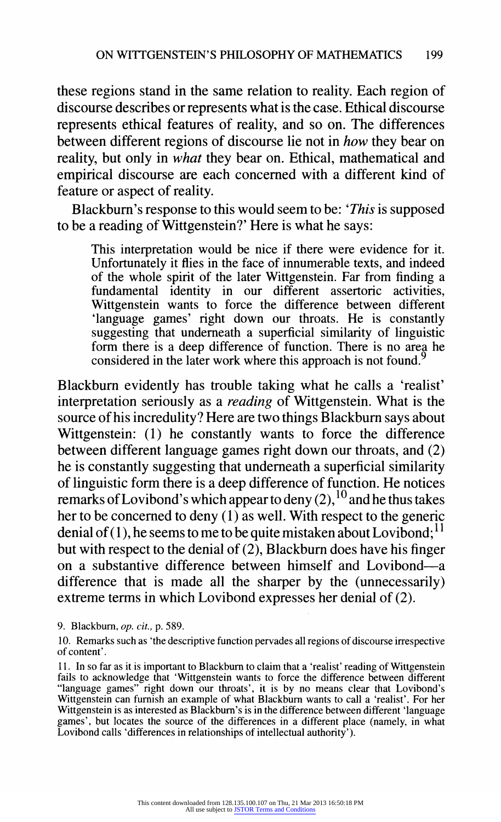**these regions stand in the same relation to reality. Each region of discourse describes or represents what is the case. Ethical discourse represents ethical features of reality, and so on. The differences between different regions of discourse lie not in how they bear on reality, but only in what they bear on. Ethical, mathematical and empirical discourse are each concerned with a different kind of feature or aspect of reality.** 

**Blackburn's response to this would seem to be: 'This is supposed to be a reading of Wittgenstein?' Here is what he says:** 

**This interpretation would be nice if there were evidence for it. Unfortunately it flies in the face of innumerable texts, and indeed of the whole spirit of the later Wittgenstein. Far from finding a fundamental identity in our different assertoric activities, Wittgenstein wants to force the difference between different 'language games' right down our throats. He is constantly suggesting that underneath asuperficial similarity of linguistic form there is a deep difference of function. There is no area he**  considered in the later work where this approach is not found.

**Blackburn evidently has trouble taking what he calls a 'realist' interpretation seriously as a reading of Wittgenstein. What is the source of his incredulity? Here are two things Blackburn says about Wittgenstein: (1) he constantly wants to force the difference between different language games right down our throats, and (2) he is constantly suggesting that undemeath a superficial similarity of linguistic form there is a deep difference of function. He notices remarks of Lovibond's which appear to deny (2), 10 and he thus takes her to be concerned to deny (1) as well. With respect to the generic denial of( 1), he seems to me to be quite mistaken about Lovibond;11 but with respect to the denial of (2), Blackburn does have his finger on a substantive difference between himself and Lovibond-a difference that is made all the sharper by the (unnecessarily) extreme terms in which Lovibond expresses her denial of (2).** 

**<sup>9.</sup> Blackburn, op. cit., p. 589.** 

**<sup>10.</sup> Remarks such as 'the descriptive function pervades all regions of discourse irrespective of content'.** 

**<sup>11.</sup> In so far as it is important to Blackburn to claim that a 'realist' reading of Wittgenstein fails to acknowledge that 'Wittgenstein wants to force the difference between different "language games" right down our throats', it is by no means clear that Lovibond's Wittgenstein can furnish an example of what Blackburn wants to call a 'realist'. For her Wittgenstein is as interested as Blackburn's is in the difference between different 'language games', but locates the source of the differences in a different place (namely, in what Lovibond calls 'differences in relationships of intellectual authority').**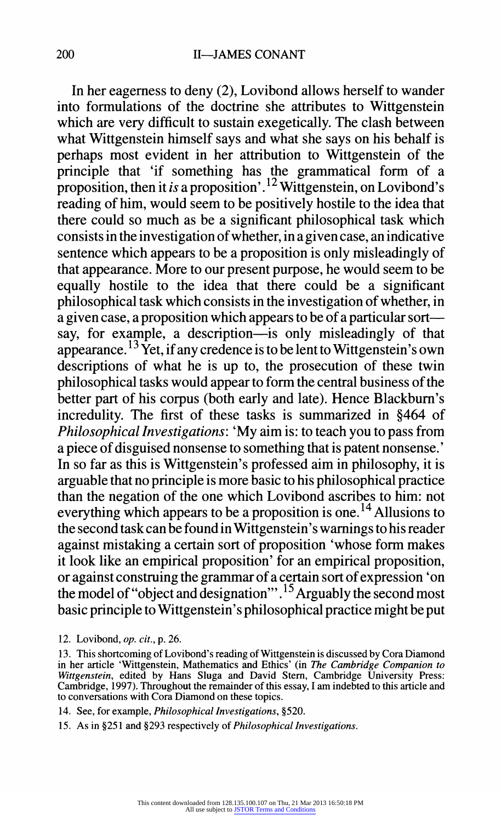**In her eagerness to deny (2), Lovibond allows herself to wander into formulations of the doctrine she attributes to Wittgenstein which are very difficult to sustain exegetically. The clash between what Wittgenstein himself says and what she says on his behalf is perhaps most evident in her attribution to Wittgenstein of the principle that 'if something has the grammatical form of a proposition, then it is a proposition' .12 Wittgenstein, on Lovibond's reading of him, would seem to be positively hostile to the idea that there could so much as be a significant philosophical task which consists in the investigation of whether, in a given case, an indicative sentence which appears to be a proposition is only misleadingly of that appearance. More to our present purpose, he would seem to be equally hostile to the idea that there could be a significant philosophical task which consists in the investigation of whether, in a given case, a proposition which appears to be of a particular sort**say, for example, a description-is only misleadingly of that **appearance. 13 Yet, if any credence is to be lent to Wittgenstein's own descriptions of what he is up to, the prosecution of these twin philosophical tasks would appear to form the central business of the better part of his corpus (both early and late). Hence Blackburn's**  incredulity. The first of these tasks is summarized in §464 of **Philosophical Investigations: 'My aim is: to teach you to pass from a piece of disguised nonsense to something that is patent nonsense.' In so far as this is Wittgenstein's professed aim in philosophy, it is arguable that no principle is more basic to his philosophical practice than the negation of the one which Lovibond ascribes to him: not everything which appears to be a proposition is one. 14 Allusions to the second task can be found in Wittgenstein's warnings to his reader against mistaking a certain sort of proposition 'whose form makes it look like an empirical proposition' for an empirical proposition, or against construing the grammar of a certain sort of expression 'on the model of "object and designation"' .15 Arguably the second most basic principle to Wittgenstein' sphilosophical practice might be put** 

**<sup>12.</sup> Lovibond, op. cit., p. 26.** 

**<sup>13.</sup> This shortcoming of Lovibond's reading of Wittgenstein is discussed by Cora Diamond in her article 'Wittgenstein, Mathematics and Ethics' (in The Cambridge Companion to Wittgenstein, edited by Hans Sluga and David Stem, Cambridge University Press: Cambridge, 1997). Throughout the remainder of this essay, I am indebted to this article and to conversations with Cora Diamond on these topics.** 

<sup>14.</sup> See, for example, *Philosophical Investigations*, §520.

<sup>15.</sup> As in §251 and §293 respectively of *Philosophical Investigations*.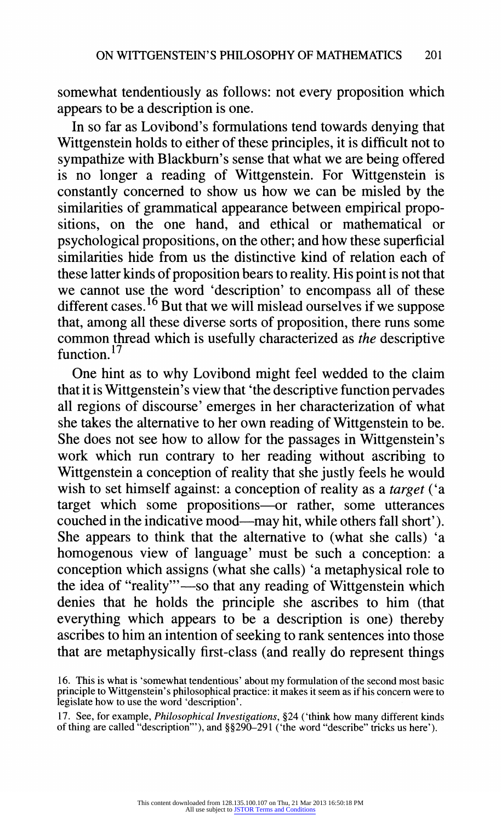**somewhat tendentiously as follows: not every proposition which appears to be a description is one.** 

**In so far as Lovibond's formulations tend towards denying that Wittgenstein holds to either of these principles, it is difficult not to sympathize with Blackburn's sense that what we are being offered is no longer a reading of Wittgenstein. For Wittgenstein is constantly concerned to show us how we can be misled by the similarities of grammatical appearance between empirical propositions, on the one hand, and ethical or mathematical or psychological propositions, on the other; and how these superficial similarities hide from us the distinctive kind of relation each of these latter kinds of proposition bears to reality. His point is not that we cannot use the word 'description' to encompass all of these different cases.16 But that we will mislead ourselves if we suppose that, among all these diverse sorts of proposition, there runs some common thread which is usefully characterized as the descriptive function.17** 

**One hint as to why Lovibond might feel wedded to the claim that it is Wittgenstein's view that 'the descriptive function pervades all regions of discourse' emerges in her characterization of what she takes the alternative to her own reading of Wittgenstein to be. She does not see how to allow for the passages in Wittgenstein's work which run contrary to her reading without ascribing to Wittgenstein a conception of reality that she justly feels he would wish to set himself against: a conception of reality as a target ('a target which some propositions-or rather, some utterances**  couched in the indicative mood—may hit, while others fall short'). **She appears to think that the alternative to (what she calls) 'a homogenous view of language' must be such a conception: a conception which assigns (what she calls) 'a metaphysical role to the idea of "reality"'-so that any reading of Wittgenstein which denies that he holds the principle she ascribes to him (that everything which appears to be a description is one) thereby ascribes to him an intention of seeking to rank sentences into those that are metaphysically first-class (and really do represent things** 

17. See, for example, *Philosophical Investigations*, §24 ('think how many different kinds of thing are called "description"'), and §§290-291 ('the word "describe" tricks us here').

**<sup>16.</sup> This is what is 'somewhat tendentious' about my formulation of the second most basic principle to Wittgenstein's philosophical practice: it makes it seem as if his concern were to legislate how to use the word 'description'.**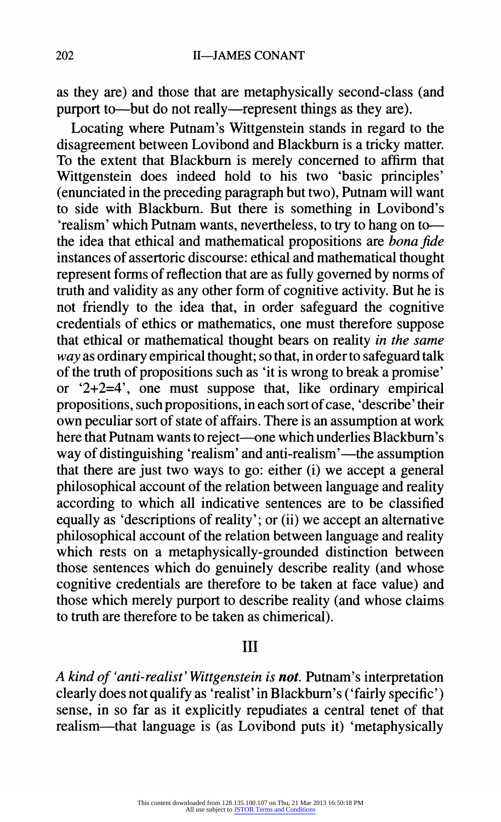**as they are) and those that are metaphysically second-class (and**  purport to—but do not really—represent things as they are).

**Locating where Putnam's Wittgenstein stands in regard to the disagreement between Lovibond and Blackburn is a tricky matter. To the extent that Blackburn is merely concerned to affirm that Wittgenstein does indeed hold to his two 'basic principles' (enunciated in the preceding paragraph but two), Putnam will want to side with Blackburn. But there is something in Lovibond's 'realism' which Putnam wants, nevertheless, to try to hang on tothe idea that ethical and mathematical propositions are bona fide instances of assertoric discourse: ethical and mathematical thought represent forms of reflection that are as fully governed by norms of truth and validity as any other form of cognitive activity. But he is not friendly to the idea that, in order safeguard the cognitive credentials of ethics or mathematics, one must therefore suppose that ethical or mathematical thought bears on reality in the same way as ordinary empirical thought; so that, in order to safeguard talk of the truth of propositions such as 'it is wrong to break a promise' or '2+2=4', one must suppose that, like ordinary empirical propositions, such propositions, in each sort of case, 'describe' their own peculiar sort of state of affairs. There is an assumption at work here that Putnam wants to reject-one which underlies Blackburn's**  way of distinguishing 'realism' and anti-realism'—the assumption **that there are just two ways to go: either (i) we accept a general philosophical account of the relation between language and reality according to which all indicative sentences are to be classified equally as 'descriptions of reality'; or (ii) we accept an alternative philosophical account of the relation between language and reality which rests on a metaphysically-grounded distinction between those sentences which do genuinely describe reality (and whose cognitive credentials are therefore to be taken at face value) and those which merely purport to describe reality (and whose claims to truth are therefore to be taken as chimerical).** 

#### **III**

**A kind of 'anti-realist' Wittgenstein is not. Putnam's interpretation clearly does not qualify as 'realist' in Blackburn's ('fairly specific') sense, in so far as it explicitly repudiates a central tenet of that realism-that language is (as Lovibond puts it) 'metaphysically**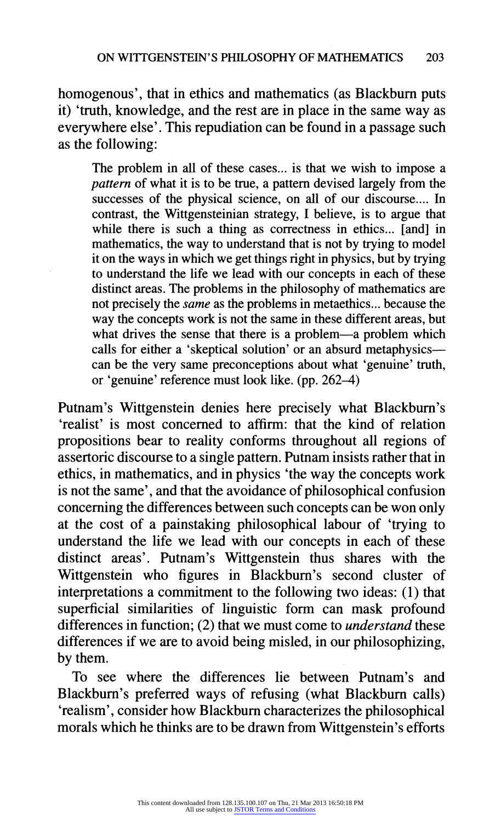**homogenous', that in ethics and mathematics (as Blackburn puts it) 'truth, knowledge, and the rest are in place in the same way as everywhere else'. This repudiation can be found in a passage such as the following:** 

**The problem in all of these cases... is that we wish to impose a pattern of what it is to be true, a pattern devised largely from the successes of the physical science, on all of our discourse.... In contrast, the Wittgensteinian strategy, I believe, is to argue that while there is such a thing as correctness in ethics... [and] in mathematics, the way to understand that is not by trying to model it on the ways in which we get things right in physics, but by trying to understand the life we lead with our concepts in each of these distinct areas. The problems in the philosophy of mathematics are not precisely the same as the problems in metaethics... because the way the concepts work is not the same in these different areas, but what drives the sense that there is a problem-a problem which calls for either a 'skeptical solution' or an absurd metaphysicscan be the very same preconceptions about what 'genuine' truth, or 'genuine' reference must look like. (pp. 262-4)** 

**Putnam's Wittgenstein denies here precisely what Blackburn's 'realist' is most concerned to affirm: that the kind of relation propositions bear to reality conforms throughout all regions of assertoric discourse to a single pattern. Putnam insists rather that in ethics, in mathematics, and in physics 'the way the concepts work is not the same', and that the avoidance of philosophical confusion concerning the differences between such concepts can be won only at the cost of a painstaking philosophical labour of 'trying to understand the life we lead with our concepts in each of these distinct areas'. Putnam's Wittgenstein thus shares with the Wittgenstein who figures in Blackburn's second cluster of interpretations a commitment to the following two ideas: (1) that superficial similarities of linguistic form can mask profound differences in function; (2) that we must come to understand these differences if we are to avoid being misled, in our philosophizing, by them.** 

**To see where the differences lie between Putnam's and Blackburn's preferred ways of refusing (what Blackburn calls) 'realism', consider how Blackburn characterizes the philosophical morals which he thinks are to be drawn from Wittgenstein's efforts**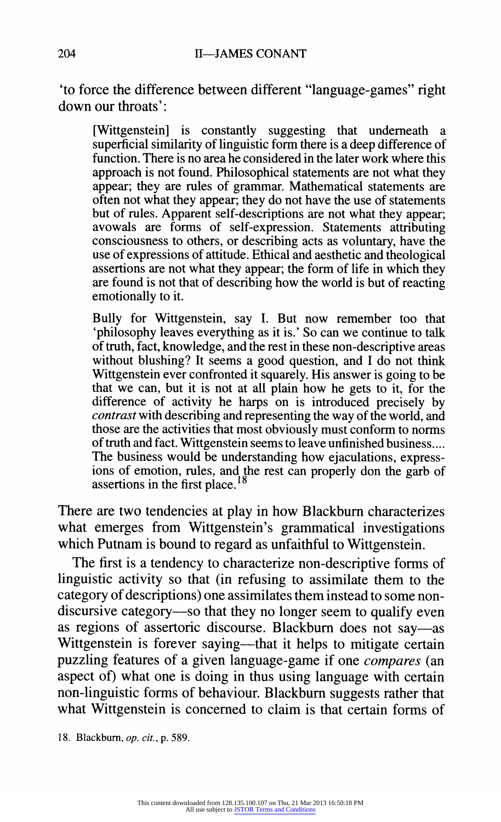**'to force the difference between different "language-games" right down our throats':** 

**[Wittgenstein] is constantly suggesting that underneath a superficial similarity of linguistic form there is a deep difference of function. There is no area he considered in the later work where this approach is not found. Philosophical statements are not what they appear; they are rules of grammar. Mathematical statements are often not what they appear; they do not have the use of statements but of rules. Apparent self-descriptions are not what they appear; avowals are forms of self-expression. Statements attributing consciousness to others, or describing acts as voluntary, have the use of expressions of attitude. Ethical and aesthetic and theological assertions are not what they appear; the form of life in which they are found is not that of describing how the world is but of reacting emotionally to it.** 

**Bully for Wittgenstein, say I. But now remember too that 'philosophy leaves everything as it is.' So can we continue to talk of truth, fact, knowledge, and the rest in these non-descriptive areas without blushing? It seems a good question, and I do not think Wittgenstein ever confronted it squarely. His answer is going to be that we can, but it is not at all plain how he gets to it, for the difference of activity he harps on is introduced precisely by contrast with describing and representing the way of the world, and those are the activities that most obviously must conform to norms of truth and fact. Wittgenstein seems to leave unfinished business.... The business would be understanding how ejaculations, express**ions of emotion, rules, and the rest can properly don the garb of **assertions in the first place.18** 

**There are two tendencies at play in how Blackburn characterizes what emerges from Wittgenstein's grammatical investigations which Putnam is bound to regard as unfaithful to Wittgenstein.** 

**The first is a tendency to characterize non-descriptive forms of linguistic activity so that (in refusing to assimilate them to the category of descriptions) one assimilates them instead to some nondiscursive category-so that they no longer seem to qualify even as regions of assertoric discourse. Blackburn does not say-as**  Wittgenstein is forever saying—that it helps to mitigate certain **puzzling features of a given language-game if one compares (an aspect of) what one is doing in thus using language with certain non-linguistic forms of behaviour. Blackburn suggests rather that what Wittgenstein is concerned to claim is that certain forms of** 

**18. Blackburn, op. cit., p. 589.**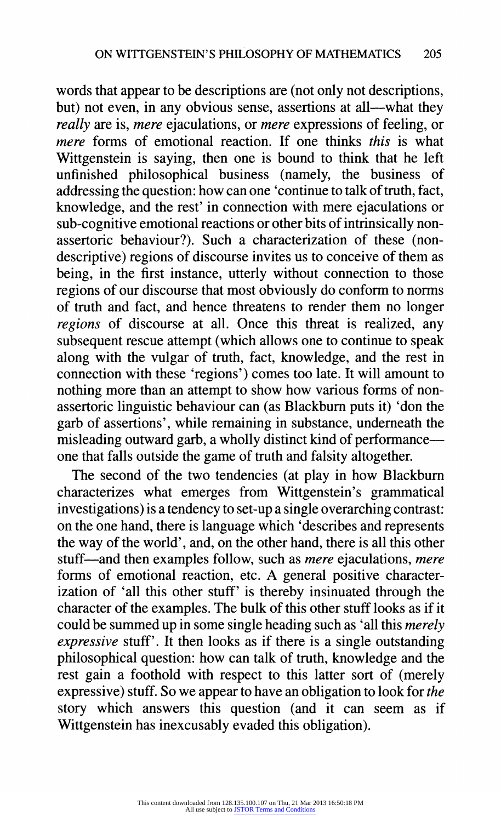**words that appear to be descriptions are (not only not descriptions, but) not even, in any obvious sense, assertions at all-what they really are is, mere ejaculations, or mere expressions of feeling, or mere forms of emotional reaction. If one thinks this is what Wittgenstein is saying, then one is bound to think that he left unfinished philosophical business (namely, the business of addressing the question: how can one 'continue to talk of truth, fact, knowledge, and the rest' in connection with mere ejaculations or sub-cognitive emotional reactions or other bits of intrinsically nonassertoric behaviour?). Such a characterization of these (nondescriptive) regions of discourse invites us to conceive of them as being, in the first instance, utterly without connection to those regions of our discourse that most obviously do conform to norms of truth and fact, and hence threatens to render them no longer regions of discourse at all. Once this threat is realized, any subsequent rescue attempt (which allows one to continue to speak along with the vulgar of truth, fact, knowledge, and the rest in connection with these 'regions') comes too late. It will amount to nothing more than an attempt to show how various forms of nonassertoric linguistic behaviour can (as Blackburn puts it) 'don the garb of assertions', while remaining in substance, underneath the misleading outward garb, a wholly distinct kind of performanceone that falls outside the game of truth and falsity altogether.** 

**The second of the two tendencies (at play in how Blackburn characterizes what emerges from Wittgenstein's grammatical investigations) is a tendency to set-up a single overarching contrast: on the one hand, there is language which 'describes and represents the way of the world', and, on the other hand, there is all this other stuff-and then examples follow, such as mere ejaculations, mere forms of emotional reaction, etc. A general positive characterization of 'all this other stuff' is thereby insinuated through the character of the examples. The bulk of this other stuff looks as if it could be summed up in some single heading such as 'all this merely expressive stuff'. It then looks as if there is a single outstanding philosophical question: how can talk of truth, knowledge and the rest gain a foothold with respect to this latter sort of (merely expressive) stuff. So we appear to have an obligation to look for the story which answers this question (and it can seem as if Wittgenstein has inexcusably evaded this obligation).**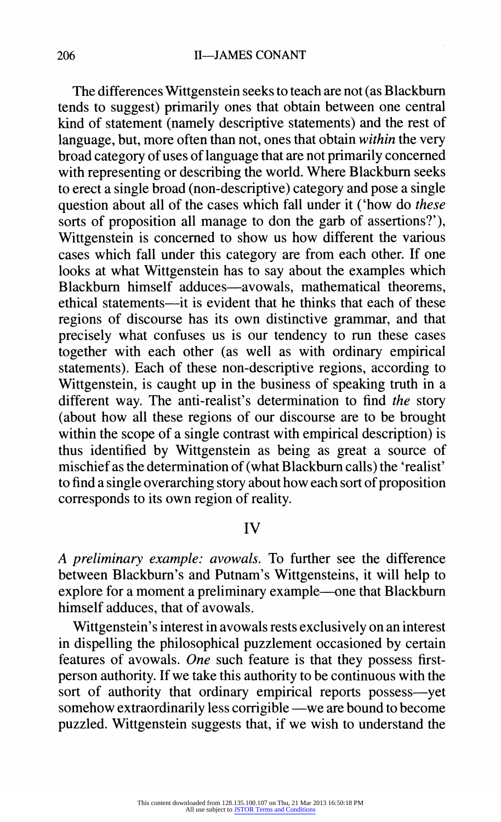**The differences Wittgenstein seeks to teach are not (as Blackburn tends to suggest) primarily ones that obtain between one central kind of statement (namely descriptive statements) and the rest of language, but, more often than not, ones that obtain within the very broad category of uses of language that are not primarily concerned with representing or describing the world. Where Blackburn seeks to erect a single broad (non-descriptive) category and pose a single question about all of the cases which fall under it ('how do these sorts of proposition all manage to don the garb of assertions?'), Wittgenstein is concerned to show us how different the various cases which fall under this category are from each other. If one looks at what Wittgenstein has to say about the examples which Blackburn himself adduces-avowals, mathematical theorems, ethical statements-it is evident that he thinks that each of these regions of discourse has its own distinctive grammar, and that precisely what confuses us is our tendency to run these cases together with each other (as well as with ordinary empirical statements). Each of these non-descriptive regions, according to Wittgenstein, is caught up in the business of speaking truth in a different way. The anti-realist's determination to find the story (about how all these regions of our discourse are to be brought within the scope of a single contrast with empirical description) is thus identified by Wittgenstein as being as great a source of mischief as the determination of (what Blackburn calls) the 'realist' to find a single overarching story about how each sort of proposition corresponds to its own region of reality.** 

#### **IV**

**A preliminary example: avowals. To further see the difference between Blackburn's and Putnam's Wittgensteins, it will help to**  explore for a moment a preliminary example—one that Blackburn **himself adduces, that of avowals.** 

**Wittgenstein's interest in avowals rests exclusively on an interest in dispelling the philosophical puzzlement occasioned by certain features of avowals. One such feature is that they possess firstperson authority. If we take this authority to be continuous with the**  sort of authority that ordinary empirical reports possess-yet somehow extraordinarily less corrigible —we are bound to become **puzzled. Wittgenstein suggests that, if we wish to understand the**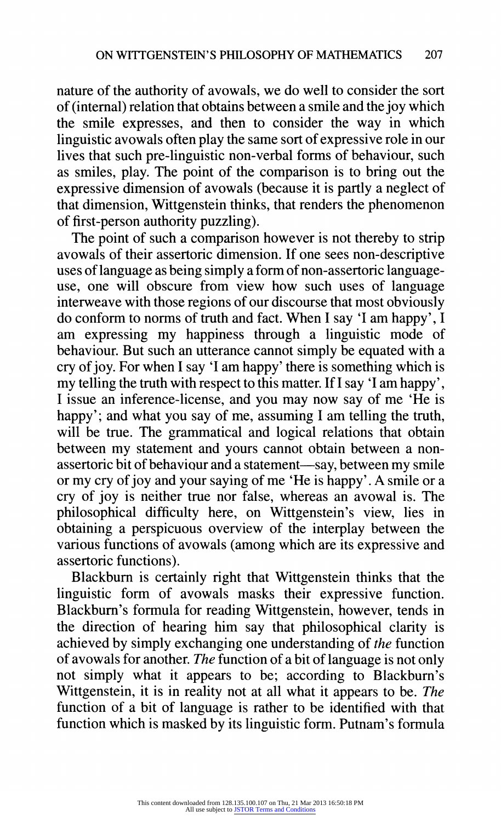**nature of the authority of avowals, we do well to consider the sort of (internal) relation that obtains between a smile and the joy which the smile expresses, and then to consider the way in which linguistic avowals often play the same sort of expressive role in our lives that such pre-linguistic non-verbal forms of behaviour, such as smiles, play. The point of the comparison is to bring out the expressive dimension of avowals (because it is partly a neglect of that dimension, Wittgenstein thinks, that renders the phenomenon of first-person authority puzzling).** 

**The point of such a comparison however is not thereby to strip avowals of their assertoric dimension. If one sees non-descriptive uses of language as being simply a form of non-assertoric languageuse, one will obscure from view how such uses of language interweave with those regions of our discourse that most obviously do conform to norms of truth and fact. When I say 'I am happy', I am expressing my happiness through a linguistic mode of behaviour. But such an utterance cannot simply be equated with a cry of joy. For when I say 'I am happy' there is something which is my telling the truth with respect to this matter. If I say 'I am happy', I issue an inference-license, and you may now say of me 'He is happy'; and what you say of me, assuming I am telling the truth, will be true. The grammatical and logical relations that obtain between my statement and yours cannot obtain between a non**assertoric bit of behaviour and a statement-say, between my smile **or my cry of joy and your saying of me 'He is happy'. A smile or a cry of joy is neither true nor false, whereas an avowal is. The philosophical difficulty here, on Wittgenstein's view, lies in obtaining a perspicuous overview of the interplay between the various functions of avowals (among which are its expressive and assertoric functions).** 

**Blackburn is certainly right that Wittgenstein thinks that the linguistic form of avowals masks their expressive function. Blackburn's formula for reading Wittgenstein, however, tends in the direction of hearing him say that philosophical clarity is achieved by simply exchanging one understanding of the function of avowals for another. The function of a bit of language is not only not simply what it appears to be; according to Blackburn's Wittgenstein, it is in reality not at all what it appears to be. The function of a bit of language is rather to be identified with that function which is masked by its linguistic form. Putnam's formula**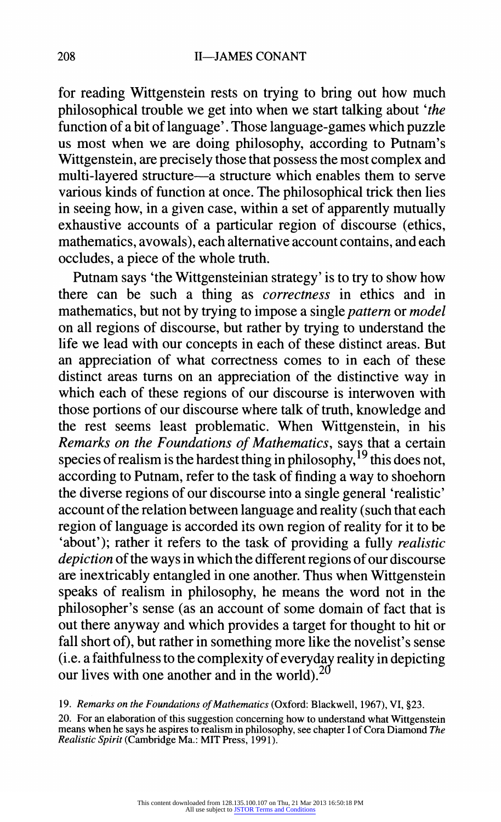**for reading Wittgenstein rests on trying to bring out how much philosophical trouble we get into when we start talking about 'the function of a bit of language'. Those language-games which puzzle us most when we are doing philosophy, according to Putnam's Wittgenstein, are precisely those that possess the most complex and multi-layered structure-a structure which enables them to serve various kinds of function at once. The philosophical trick then lies in seeing how, in a given case, within a set of apparently mutually exhaustive accounts of a particular region of discourse (ethics, mathematics, avowals), each alternative account contains, and each occludes, a piece of the whole truth.** 

**Putnam says 'the Wittgensteinian strategy' is to try to show how there can be such a thing as correctness in ethics and in mathematics, but not by trying to impose a single pattern or model on all regions of discourse, but rather by trying to understand the life we lead with our concepts in each of these distinct areas. But an appreciation of what correctness comes to in each of these distinct areas turns on an appreciation of the distinctive way in which each of these regions of our discourse is interwoven with those portions of our discourse where talk of truth, knowledge and the rest seems least problematic. When Wittgenstein, in his Remarks on the Foundations of Mathematics, says that a certain species of realism is the hardest thing in philosophy, 19 this does not, according to Putnam, refer to the task of finding a way to shoehorn the diverse regions of our discourse into a single general 'realistic' account of the relation between language and reality (such that each region of language is accorded its own region of reality for it to be 'about'); rather it refers to the task of providing a fully realistic depiction of the ways in which the different regions of our discourse are inextricably entangled in one another. Thus when Wittgenstein speaks of realism in philosophy, he means the word not in the philosopher's sense (as an account of some domain of fact that is out there anyway and which provides a target for thought to hit or fall short of), but rather in something more like the novelist's sense**  (i.e. a faithfulness to the complexity of everyday reality in depicting **our lives with one another and in the world).2** 

19. Remarks on the Foundations of Mathematics (Oxford: Blackwell, 1967), VI, §23.

**<sup>20.</sup> For an elaboration of this suggestion concerning how to understand what Wittgenstein means when he says he aspires to realism in philosophy, see chapter I of Cora Diamond The Realistic Spirit (Cambridge Ma.: MIT Press, 1991).**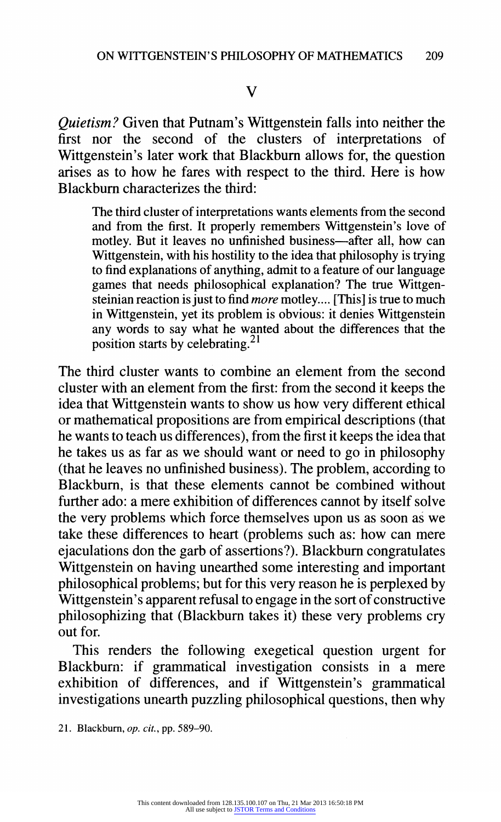#### **V**

**Quietism? Given that Putnam's Wittgenstein falls into neither the**  first nor the second of the clusters of interpretations of **Wittgenstein's later work that Blackburn allows for, the question arises as to how he fares with respect to the third. Here is how Blackburn characterizes the third:** 

**The third cluster of interpretations wants elements from the second and from the first. It properly remembers Wittgenstein's love of motley. But it leaves no unfinished business-after all, how can Wittgenstein, with his hostility to the idea that philosophy is trying to find explanations of anything, admit to a feature of our language games that needs philosophical explanation? The true Wittgensteinian reaction is just to find more motley.... [This] is true to much in Wittgenstein, yet its problem is obvious: it denies Wittgenstein any words to say what he wanted about the differences that the position starts by celebrating.21** 

**The third cluster wants to combine an element from the second cluster with an element from the first: from the second it keeps the idea that Wittgenstein wants to show us how very different ethical or mathematical propositions are from empirical descriptions (that he wants to teach us differences), from the first it keeps the idea that he takes us as far as we should want or need to go in philosophy (that he leaves no unfinished business). The problem, according to Blackburn, is that these elements cannot be combined without further ado: a mere exhibition of differences cannot by itself solve the very problems which force themselves upon us as soon as we take these differences to heart (problems such as: how can mere ejaculations don the garb of assertions?). Blackburn congratulates Wittgenstein on having unearthed some interesting and important philosophical problems; but for this very reason he is perplexed by Wittgenstein's apparent refusal to engage in the sort of constructive philosophizing that (Blackburn takes it) these very problems cry out for.** 

**This renders the following exegetical question urgent for Blackburn: if grammatical investigation consists in a mere exhibition of differences, and if Wittgenstein's grammatical investigations unearth puzzling philosophical questions, then why** 

**21. Blackburn, op. cit., pp. 589-90.**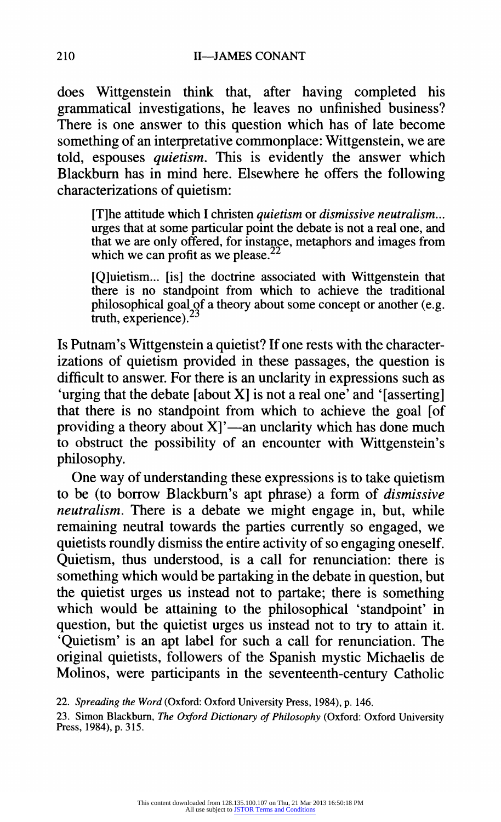**does Wittgenstein think that, after having completed his grammatical investigations, he leaves no unfinished business? There is one answer to this question which has of late become something of an interpretative commonplace: Wittgenstein, we are told, espouses quietism. This is evidently the answer which Blackburn has in mind here. Elsewhere he offers the following characterizations of quietism:** 

**[T]he attitude which I christen quietism or dismissive neutralism... urges that at some particular point the debate is not a real one, and**  that we are only offered, for instance, metaphors and images from **which we can profit as we please.22** 

**[Q]uietism... [is] the doctrine associated with Wittgenstein that there is no standpoint from which to achieve the traditional**  philosophical goal of a theory about some concept or another (e.g. **truth, experience).23** 

**Is Putnam's Wittgenstein a quietist? If one rests with the characterizations of quietism provided in these passages, the question is difficult to answer. For there is an unclarity in expressions such as 'urging that the debate [about X] is not a real one' and '[asserting] that there is no standpoint from which to achieve the goal [of**  providing a theory about X]'—an unclarity which has done much **to obstruct the possibility of an encounter with Wittgenstein's philosophy.** 

**One way of understanding these expressions is to take quietism to be (to borrow Blackburn's apt phrase) a form of dismissive neutralism. There is a debate we might engage in, but, while remaining neutral towards the parties currently so engaged, we quietists roundly dismiss the entire activity of so engaging oneself. Quietism, thus understood, is a call for renunciation: there is something which would be partaking in the debate in question, but the quietist urges us instead not to partake; there is something which would be attaining to the philosophical 'standpoint' in question, but the quietist urges us instead not to try to attain it. 'Quietism' is an apt label for such a call for renunciation. The original quietists, followers of the Spanish mystic Michaelis de Molinos, were participants in the seventeenth-century Catholic** 

**<sup>22.</sup> Spreading the Word (Oxford: Oxford University Press, 1984), p. 146.** 

**<sup>23.</sup> Simon Blackburn, The Oxford Dictionary of Philosophy (Oxford: Oxford University Press, 1984), p. 315.**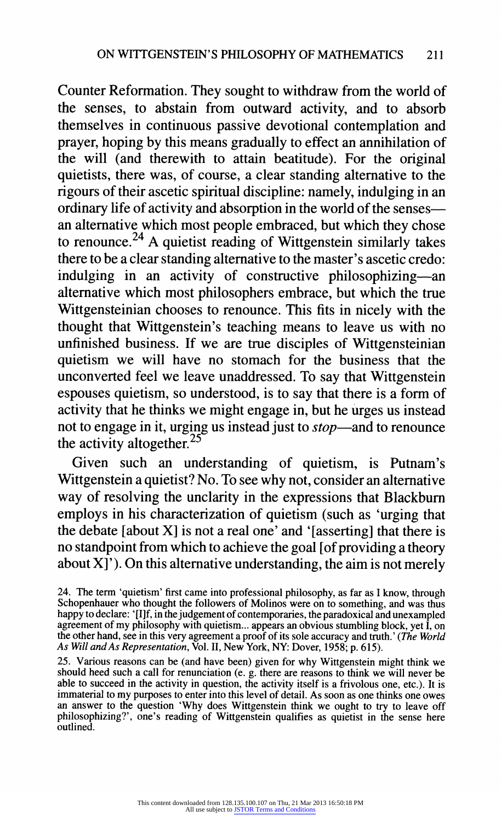**Counter Reformation. They sought to withdraw from the world of the senses, to abstain from outward activity, and to absorb themselves in continuous passive devotional contemplation and prayer, hoping by this means gradually to effect an annihilation of the will (and therewith to attain beatitude). For the original quietists, there was, of course, a clear standing alternative to the rigours of their ascetic spiritual discipline: namely, indulging in an ordinary life of activity and absorption in the world of the sensesan alternative which most people embraced, but which they chose to renounce.24 A quietist reading of Wittgenstein similarly takes there to be a clear standing alternative to the master's ascetic credo: indulging in an activity of constructive philosophizing-an alternative which most philosophers embrace, but which the true Wittgensteinian chooses to renounce. This fits in nicely with the thought that Wittgenstein's teaching means to leave us with no unfinished business. If we are true disciples of Wittgensteinian quietism we will have no stomach for the business that the unconverted feel we leave unaddressed. To say that Wittgenstein espouses quietism, so understood, is to say that there is a form of activity that he thinks we might engage in, but he urges us instead not to engage in it, urging us instead just to stop-and to renounce the activity altogether.25** 

**Given such an understanding of quietism, is Putnam's Wittgenstein a quietist? No. To see why not, consider an alternative way of resolving the unclarity in the expressions that Blackburn employs in his characterization of quietism (such as 'urging that the debate [about X] is not a real one' and '[asserting] that there is no standpoint from which to achieve the goal [of providing a theory about X]'). On this alternative understanding, the aim is not merely** 

**25. Various reasons can be (and have been) given for why Wittgenstein might think we should heed such a call for renunciation (e. g. there are reasons to think we will never be able to succeed in the activity in question, the activity itself is a frivolous one, etc.). It is immaterial to my purposes to enter into this level of detail. As soon as one thinks one owes an answer to the question 'Why does Wittgenstein think we ought to try to leave off philosophizing?', one's reading of Wittgenstein qualifies as quietist in the sense here outlined.** 

**<sup>24.</sup> The term 'quietism' first came into professional philosophy, as far as I know, through Schopenhauer who thought the followers of Molinos were on to something, and was thus happy to declare: '[I]f, in the judgement of contemporaries, the paradoxical and unexampled agreement of my philosophy with quietism... appears an obvious stumbling block, yet I, on the other hand, see in this very agreement a proof of its sole accuracy and truth.' (The World As Will and As Representation, Vol. II, New York, NY: Dover, 1958; p. 615).**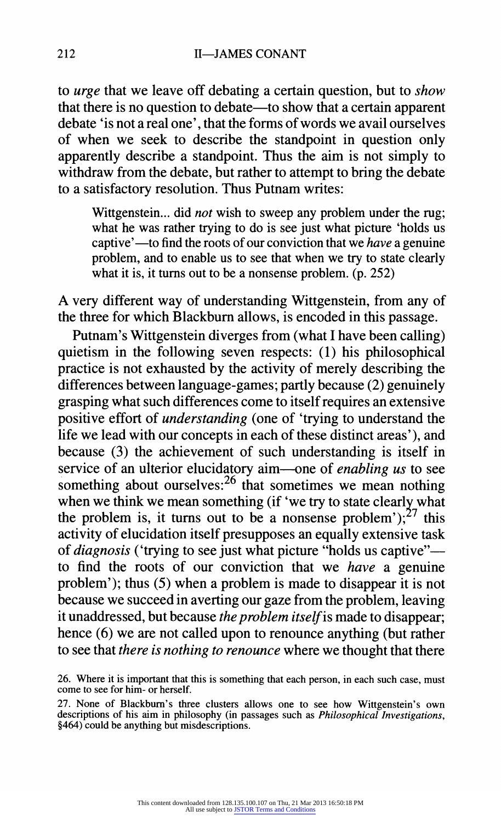**to urge that we leave off debating a certain question, but to show**  that there is no question to debate—to show that a certain apparent **debate 'is not a real one', that the forms of words we avail ourselves of when we seek to describe the standpoint in question only apparently describe a standpoint. Thus the aim is not simply to withdraw from the debate, but rather to attempt to bring the debate to a satisfactory resolution. Thus Putnam writes:** 

**Wittgenstein... did not wish to sweep any problem under the rug; what he was rather trying to do is see just what picture 'holds us**  captive'—to find the roots of our conviction that we *have* a genuine **problem, and to enable us to see that when we try to state clearly what it is, it tums out to be a nonsense problem. (p. 252)** 

**A very different way of understanding Wittgenstein, from any of the three for which Blackburn allows, is encoded in this passage.** 

**Putnam's Wittgenstein diverges from (what I have been calling) quietism in the following seven respects: (1) his philosophical practice is not exhausted by the activity of merely describing the differences between language-games; partly because (2) genuinely grasping what such differences come to itself requires an extensive positive effort of understanding (one of 'trying to understand the life we lead with our concepts in each of these distinct areas'), and because (3) the achievement of such understanding is itself in service of an ulterior elucidatory aim-one of enabling us to see something about ourselves:26 that sometimes we mean nothing when we think we mean something (if 'we try to state clearly what the problem is, it turns out to be a nonsense problem');27 this activity of elucidation itself presupposes an equally extensive task**  of *diagnosis* ('trying to see just what picture "holds us captive"**to find the roots of our conviction that we have a genuine problem'); thus (5) when a problem is made to disappear it is not because we succeed in averting our gaze from the problem, leaving it unaddressed, but because the problem itself is made to disappear; hence (6) we are not called upon to renounce anything (but rather to see that there is nothing to renounce where we thought that there** 

**<sup>26.</sup> Where it is important that this is something that each person, in each such case, must come to see for him- or herself.** 

**<sup>27.</sup> None of Blackburn's three clusters allows one to see how Wittgenstein's own**  descriptions of his aim in philosophy (in passages such as *Philosophical Investigations*, **?464) could be anything but misdescriptions.**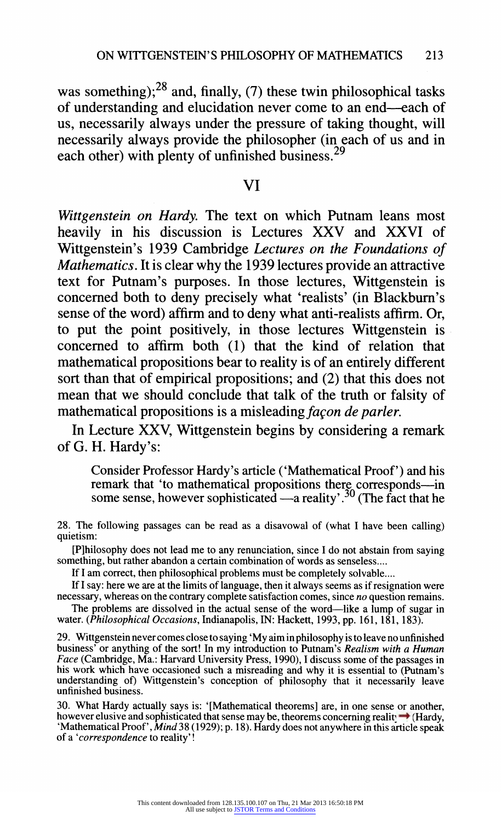**was something);28 and, finally, (7) these twin philosophical tasks of understanding and elucidation never come to an end-each of us, necessarily always under the pressure of taking thought, will necessarily always provide the philosopher (in each of us and in each other) with plenty of unfinished business.29** 

**VI** 

**Wittgenstein on Hardy. The text on which Putnam leans most heavily in his discussion is Lectures XXV and XXVI of Wittgenstein's 1939 Cambridge Lectures on the Foundations of Mathematics. It is clear why the 1939 lectures provide an attractive text for Putnam's purposes. In those lectures, Wittgenstein is concerned both to deny precisely what 'realists' (in Blackburn's sense of the word) affirm and to deny what anti-realists affirm. Or, to put the point positively, in those lectures Wittgenstein is concerned to affirm both (1) that the kind of relation that mathematical propositions bear to reality is of an entirely different sort than that of empirical propositions; and (2) that this does not mean that we should conclude that talk of the truth or falsity of**  mathematical propositions is a misleading façon de parler.

**In Lecture XXV, Wittgenstein begins by considering a remark of G. H. Hardy's:** 

**Consider Professor Hardy's article ('Mathematical Proof') and his remark that 'to mathematical propositions there corresponds-in some sense, however sophisticated —a reality'.<sup>30</sup> (The fact that he** 

**28. The following passages can be read as a disavowal of (what I have been calling) quietism:** 

**[P]hilosophy does not lead me to any renunciation, since I do not abstain from saying something, but rather abandon a certain combination of words as senseless....** 

**If I am correct, then philosophical problems must be completely solvable....** 

**If I say: here we are at the limits of language, then it always seems as if resignation were necessary, whereas on the contrary complete satisfaction comes, since no question remains. The problems are dissolved in the actual sense of the word-like a lump of sugar in** 

water. (Philosophical Occasions, Indianapolis, IN: Hackett, 1993, pp. 161, 181, 183).

**29. Wittgenstein nevercomes closeto saying 'My aim in philosophy is to leave no unfinished business' or anything of the sort! In my introduction to Putnam's Realism with a Human Face (Cambridge, Ma.: Harvard University Press, 1990), I discuss some of the passages in his work which have occasioned such a misreading and why it is essential to (Putnam's understanding of) Wittgenstein's conception of philosophy that it necessarily leave unfinished business.** 

30. What Hardy actually says is: '[Mathematical theorems] are, in one sense or another, however elusive and sophisticated that sense may be, theorems concerning reality.<sup>3</sup> (Hardy, **'Mathematical Proof', Mind 38 (1929); p. 18). Hardy does not anywhere in this article speak of a 'correspondence to reality'!**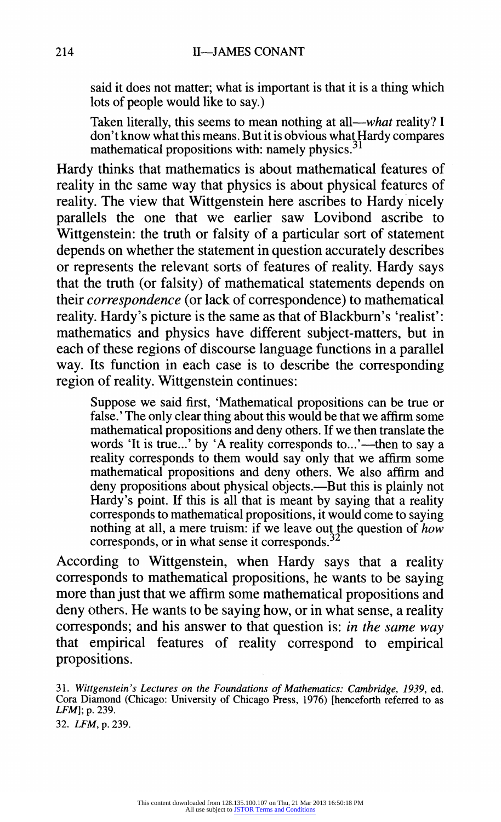**said it does not matter; what is important is that it is a thing which lots of people would like to say.)** 

Taken literally, this seems to mean nothing at all—what reality? I **don't know what this means. But it is obvious what Hardy compares mathematical propositions with: namely physics.31** 

**Hardy thinks that mathematics is about mathematical features of reality in the same way that physics is about physical features of reality. The view that Wittgenstein here ascribes to Hardy nicely parallels the one that we earlier saw Lovibond ascribe to Wittgenstein: the truth or falsity of a particular sort of statement depends on whether the statement in question accurately describes or represents the relevant sorts of features of reality. Hardy says that the truth (or falsity) of mathematical statements depends on their correspondence (or lack of correspondence) to mathematical reality. Hardy's picture is the same as that of Blackburn's 'realist': mathematics and physics have different subject-matters, but in each of these regions of discourse language functions in a parallel way. Its function in each case is to describe the corresponding region of reality. Wittgenstein continues:** 

**Suppose we said first, 'Mathematical propositions can be true or false.' The only clear thing about this would be that we affirm some mathematical propositions and deny others. If we then translate the**  words 'It is true...' by 'A reality corresponds to...'—then to say a **reality corresponds to them would say only that we affirm some mathematical propositions and deny others. We also affirm and**  deny propositions about physical objects.—But this is plainly not **Hardy's point. If this is all that is meant by saying that a reality corresponds to mathematical propositions, it would come to saying nothing at all, a mere truism: if we leave out the question of how corresponds, or in what sense it corresponds.32** 

**According to Wittgenstein, when Hardy says that a reality corresponds to mathematical propositions, he wants to be saying more than just that we affirm some mathematical propositions and deny others. He wants to be saying how, or in what sense, a reality corresponds; and his answer to that question is: in the same way that empirical features of reality correspond to empirical propositions.** 

**31. Wittgenstein's Lectures on the Foundations of Mathematics: Cambridge, 1939, ed. Cora Diamond (Chicago: University of Chicago Press, 1976) [henceforth referred to as LFM]; p. 239.** 

**32. LFM, p. 239.**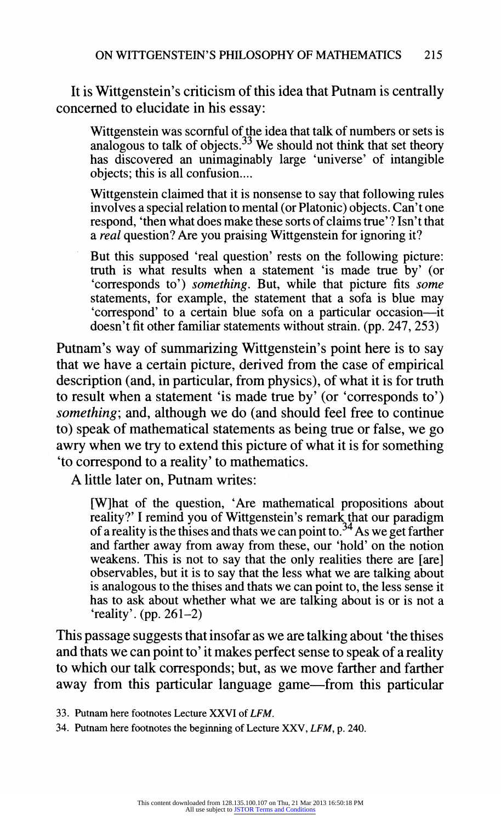**It is Wittgenstein's criticism of this idea that Putnam is centrally concerned to elucidate in his essay:** 

**Wittgenstein was scornful of the idea that talk of numbers or sets is analogous to talk of objects.33 We should not think that set theory has discovered an unimaginably large 'universe' of intangible objects; this is all confusion....** 

**Wittgenstein claimed that it is nonsense to say that following rules involves a special relation to mental (or Platonic) objects. Can't one respond, 'then what does make these sorts of claims true'? Isn't that a real question? Are you praising Wittgenstein for ignoring it?** 

**But this supposed 'real question' rests on the following picture: truth is what results when a statement 'is made true by' (or 'corresponds to') something. But, while that picture fits some statements, for example, the statement that a sofa is blue may 'correspond' to a certain blue sofa on a particular occasion-it doesn't fit other familiar statements without strain. (pp. 247, 253)** 

**Putnam's way of summarizing Wittgenstein's point here is to say that we have a certain picture, derived from the case of empirical description (and, in particular, from physics), of what it is for truth to result when a statement 'is made true by' (or 'corresponds to') something; and, although we do (and should feel free to continue to) speak of mathematical statements as being true or false, we go awry when we try to extend this picture of what it is for something 'to correspond to a reality' to mathematics.** 

**A little later on, Putnam writes:** 

**[W]hat of the question, 'Are mathematical propositions about reality?' I remind you of Wittgenstein's remark that our paradigm of a reality is the thises and thats we can point to.34 As we get farther and farther away from away from these, our 'hold' on the notion weakens. This is not to say that the only realities there are [are] observables, but it is to say that the less what we are talking about is analogous to the thises and thats we can point to, the less sense it has to ask about whether what we are talking about is or is not a 'reality'. (pp. 261-2)** 

**This passage suggests that insofar as we are talking about 'the thises and thats we can point to' it makes perfect sense to speak of a reality to which our talk corresponds; but, as we move farther and farther**  away from this particular language game—from this particular

**34. Putnam here footnotes the beginning of Lecture XXV, LFM, p. 240.** 

**<sup>33.</sup> Putnam here footnotes Lecture XXVI of LFM.**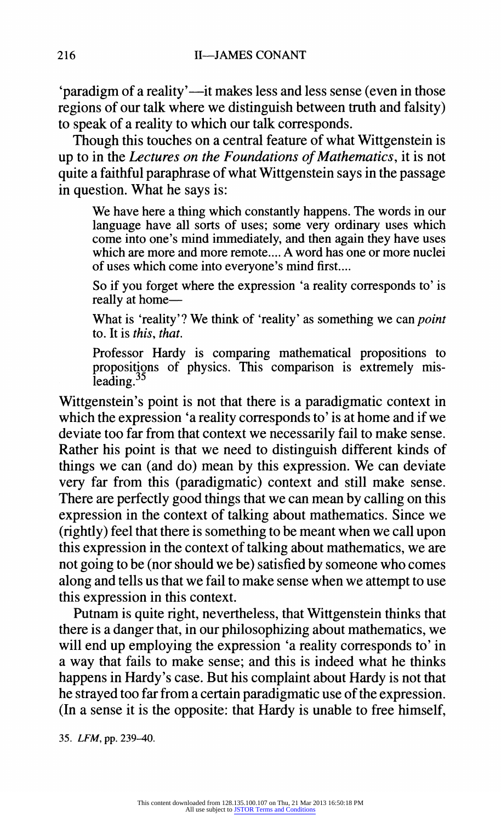**'paradigm of a reality'-it makes less and less sense (even in those regions of our talk where we distinguish between truth and falsity) to speak of a reality to which our talk corresponds.** 

**Though this touches on a central feature of what Wittgenstein is up to in the Lectures on the Foundations of Mathematics, it is not quite a faithful paraphrase of what Wittgenstein says in the passage in question. What he says is:** 

**We have here a thing which constantly happens. The words in our language have all sorts of uses; some very ordinary uses which come into one's mind immediately, and then again they have uses which are more and more remote.... A word has one or more nuclei of uses which come into everyone's mind first....** 

**So if you forget where the expression 'a reality corresponds to' is really at home-**

**What is 'reality'? We think of 'reality' as something we can point to. It is this, that.** 

**Professor Hardy is comparing mathematical propositions to**  propositions of physics. This comparison is extremely mis**leading.35** 

**Wittgenstein's point is not that there is a paradigmatic context in which the expression 'a reality corresponds to' is at home and if we deviate too far from that context we necessarily fail to make sense. Rather his point is that we need to distinguish different kinds of things we can (and do) mean by this expression. We can deviate very far from this (paradigmatic) context and still make sense. There are perfectly good things that we can mean by calling on this expression in the context of talking about mathematics. Since we (rightly) feel that there is something to be meant when we call upon this expression in the context of talking about mathematics, we are not going to be (nor should we be) satisfied by someone who comes along and tells us that we fail to make sense when we attempt to use this expression in this context.** 

**Putnam is quite right, nevertheless, that Wittgenstein thinks that there is a danger that, in our philosophizing about mathematics, we will end up employing the expression 'a reality corresponds to' in a way that fails to make sense; and this is indeed what he thinks happens in Hardy's case. But his complaint about Hardy is not that he strayed too far from a certain paradigmatic use of the expression. (In a sense it is the opposite: that Hardy is unable to free himself,** 

**35. LFM, pp. 239-40.**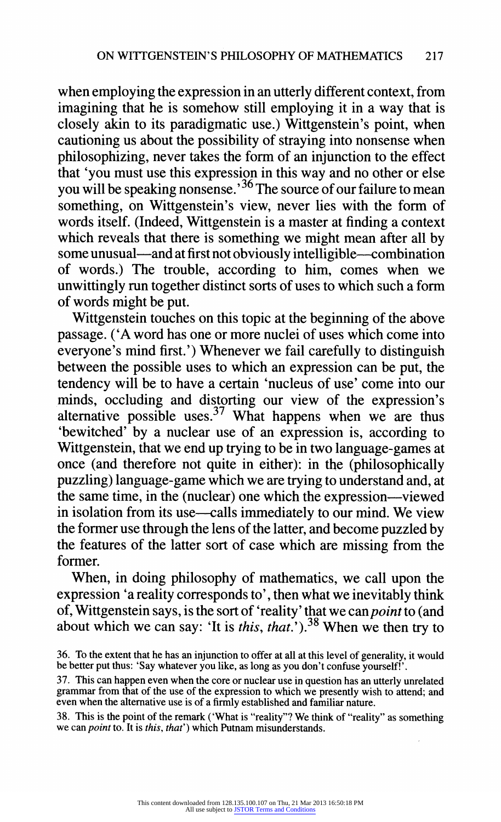**when employing the expression in an utterly different context, from imagining that he is somehow still employing it in a way that is closely akin to its paradigmatic use.) Wittgenstein's point, when cautioning us about the possibility of straying into nonsense when philosophizing, never takes the form of an injunction to the effect that 'you must use this expression in this way and no other or else you will be speaking nonsense.'36 The source of our failure to mean something, on Wittgenstein's view, never lies with the form of words itself. (Indeed, Wittgenstein is a master at finding a context which reveals that there is something we might mean after all by some unusual-and at first not obviously intelligible-combination of words.) The trouble, according to him, comes when we unwittingly run together distinct sorts of uses to which such a form of words might be put.** 

**Wittgenstein touches on this topic at the beginning of the above passage. ('A word has one or more nuclei of uses which come into everyone's mind first.') Whenever we fail carefully to distinguish between the possible uses to which an expression can be put, the tendency will be to have a certain 'nucleus of use' come into our minds, occluding and distorting our view of the expression's alternative possible uses.37 What happens when we are thus 'bewitched' by a nuclear use of an expression is, according to Wittgenstein, that we end up trying to be in two language-games at once (and therefore not quite in either): in the (philosophically puzzling) language-game which we are trying to understand and, at the same time, in the (nuclear) one which the expression-viewed in isolation from its use-calls immediately to our mind. We view the former use through the lens of the latter, and become puzzled by the features of the latter sort of case which are missing from the former.** 

**When, in doing philosophy of mathematics, we call upon the expression 'a reality corresponds to', then what we inevitably think of, Wittgenstein says, is the sort of 'reality' that we can point to (and about which we can say: 'It is this, that.').38 When we then try to** 

**38. This is the point of the remark ('What is "reality"? We think of "reality" as something we can point to. It is this, that') which Putnam misunderstands.** 

**<sup>36.</sup> To the extent that he has an injunction to offer at all at this level of generality, it would be better put thus: 'Say whatever you like, as long as you don't confuse yourself!'.** 

**<sup>37.</sup> This can happen even when the core or nuclear use in question has an utterly unrelated grammar from that of the use of the expression to which we presently wish to attend; and even when the alternative use is of a firmly established and familiar nature.**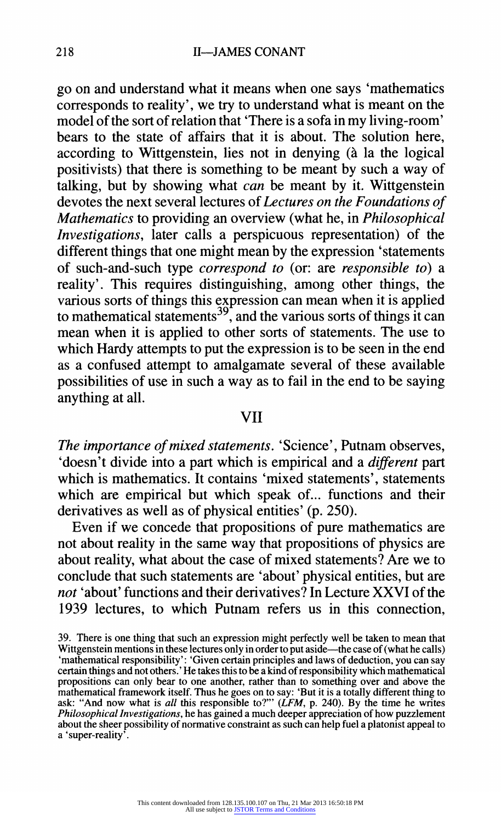**go on and understand what it means when one says 'mathematics corresponds to reality', we try to understand what is meant on the model of the sort of relation that 'There is a sofa in my living-room' bears to the state of affairs that it is about. The solution here, according to Wittgenstein, lies not in denying (a' la the logical positivists) that there is something to be meant by such a way of talking, but by showing what can be meant by it. Wittgenstein devotes the next several lectures of Lectures on the Foundations of Mathematics to providing an overview (what he, in Philosophical Investigations, later calls a perspicuous representation) of the different things that one might mean by the expression 'statements of such-and-such type correspond to (or: are responsible to) a reality'. This requires distinguishing, among other things, the various sorts of things this expression can mean when it is applied to mathematical statements39, and the various sorts of things it can mean when it is applied to other sorts of statements. The use to which Hardy attempts to put the expression is to be seen in the end as a confused attempt to amalgamate several of these available possibilities of use in such a way as to fail in the end to be saying anything at all.** 

#### **VII**

**The importance of mixed statements. 'Science', Putnam observes, 'doesn't divide into a part which is empirical and a different part which is mathematics. It contains 'mixed statements', statements which are empirical but which speak of... functions and their derivatives as well as of physical entities' (p. 250).** 

**Even if we concede that propositions of pure mathematics are not about reality in the same way that propositions of physics are about reality, what about the case of mixed statements? Are we to conclude that such statements are 'about' physical entities, but are not 'about' functions and their derivatives? In Lecture XXVI of the 1939 lectures, to which Putnam refers us in this connection,** 

**<sup>39.</sup> There is one thing that such an expression might perfectly well be taken to mean that**  Wittgenstein mentions in these lectures only in order to put aside—the case of (what he calls) **'mathematical responsibility': 'Given certain principles and laws of deduction, you can say certain things and not others.' He takes this to be a kind of responsibility which mathematical propositions can only bear to one another, rather than to something over and above the**  mathematical framework itself. Thus he goes on to say: 'But it is a totally different thing to<br>ask: "And now what is *all* this responsible to?"' (LFM, p. 240). By the time he writes<br>*Philosophical Investigations*, he has **a 'super-reality'.**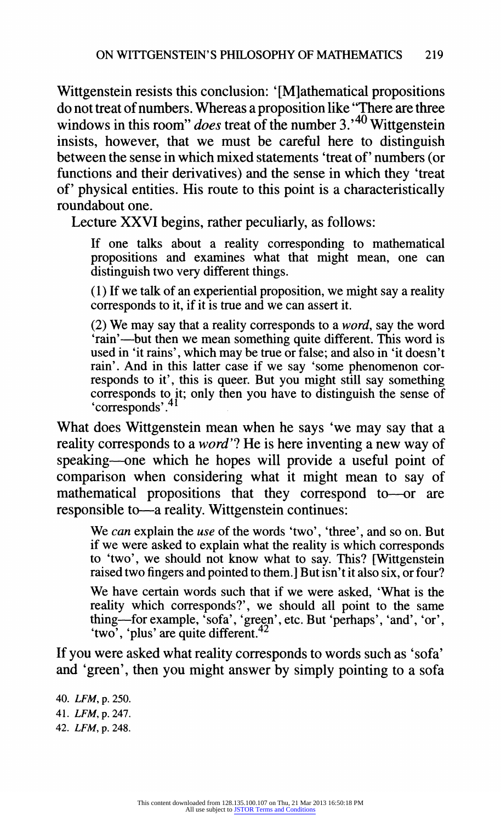**Wittgenstein resists this conclusion: '[M]athematical propositions do not treat of numbers. Whereas a proposition like "There are three windows in this room" does treat of the number 3.'40 Wittgenstein insists, however, that we must be careful here to distinguish between the sense in which mixed statements 'treat of' numbers (or functions and their derivatives) and the sense in which they 'treat of' physical entities. His route to this point is a characteristically roundabout one.** 

**Lecture XXVI begins, rather peculiarly, as follows:** 

**If one talks about a reality corresponding to mathematical propositions and examines what that might mean, one can distinguish two very different things.** 

**(1) If we talk of an experiential proposition, we might say a reality corresponds to it, if it is true and we can assert it.** 

**(2) We may say that a reality corresponds to a word, say the word 'rain'-but then we mean something quite different. This word is used in 'it rains', which may be true or false; and also in 'it doesn't rain'. And in this latter case if we say 'some phenomenon corresponds to it', this is queer. But you might still say something corresponds to it; only then you have to distinguish the sense of 'corresponds'.41** 

**What does Wittgenstein mean when he says 'we may say that a reality corresponds to a word'? He is here inventing a new way of speaking-one which he hopes will provide a useful point of comparison when considering what it might mean to say of mathematical propositions that they correspond to-or are**  responsible to—a reality. Wittgenstein continues:

**We can explain the use of the words 'two', 'three', and so on. But if we were asked to explain what the reality is which corresponds to 'two', we should not know what to say. This? [Wittgenstein raised two fingers and pointed to them.] But isn't it also six, or four?** 

**We have certain words such that if we were asked, 'What is the reality which corresponds?', we should all point to the same thing-for example, 'sofa', 'green', etc. But 'perhaps', 'and', 'or', 'two', 'plus' are quite different.42** 

**If you were asked what reality corresponds to words such as 'sofa' and 'green', then you might answer by simply pointing to a sofa** 

**40. LFM, p. 250. 41. LFM, p. 247. 42. LFM, p. 248.**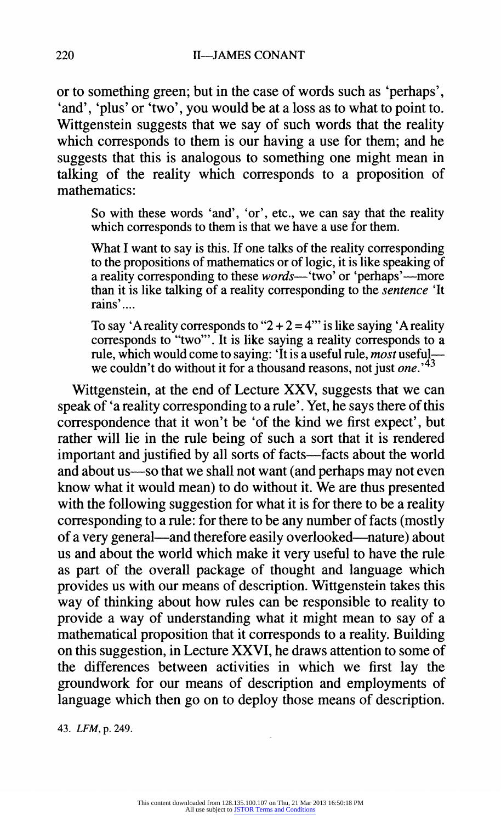**or to something green; but in the case of words such as 'perhaps', 'and', 'plus' or 'two', you would be at a loss as to what to point to. Wittgenstein suggests that we say of such words that the reality**  which corresponds to them is our having a use for them; and he **suggests that this is analogous to something one might mean in talking of the reality which corresponds to a proposition of mathematics:** 

**So with these words 'and', 'or', etc., we can say that the reality which corresponds to them is that we have a use for them.** 

**What I want to say is this. If one talks of the reality corresponding to the propositions of mathematics or of logic, it is like speaking of**  a reality corresponding to these *words*—"two' or 'perhaps'—more **than it is like talking of a reality corresponding to the sentence 'It rains'....** 

**To say 'A reality corresponds to "2 + 2 = 4"' is like saying 'A reality corresponds to "two"'. It is like saying a reality corresponds to a rule, which would come to saying: 'It is a useful rule,** *most* **useful we couldn't do without it for a thousand reasons, not just one.'43** 

**Wittgenstein, at the end of Lecture XXV, suggests that we can speak of 'a reality corresponding to a rule'. Yet, he says there of this correspondence that it won't be 'of the kind we first expect', but rather will lie in the rule being of such a sort that it is rendered important and justified by all sorts of facts-facts about the world**  and about us-so that we shall not want (and perhaps may not even **know what it would mean) to do without it. We are thus presented with the following suggestion for what it is for there to be a reality corresponding to a rule: for there to be any number of facts (mostly of a very general-and therefore easily overlooked-nature) about us and about the world which make it very useful to have the rule as part of the overall package of thought and language which provides us with our means of description. Wittgenstein takes this way of thinking about how rules can be responsible to reality to provide a way of understanding what it might mean to say of a mathematical proposition that it corresponds to a reality. Building on this suggestion, in Lecture XXVI, he draws attention to some of the differences between activities in which we first lay the groundwork for our means of description and employments of**  language which then go on to deploy those means of description.

**43. LFM, p. 249.**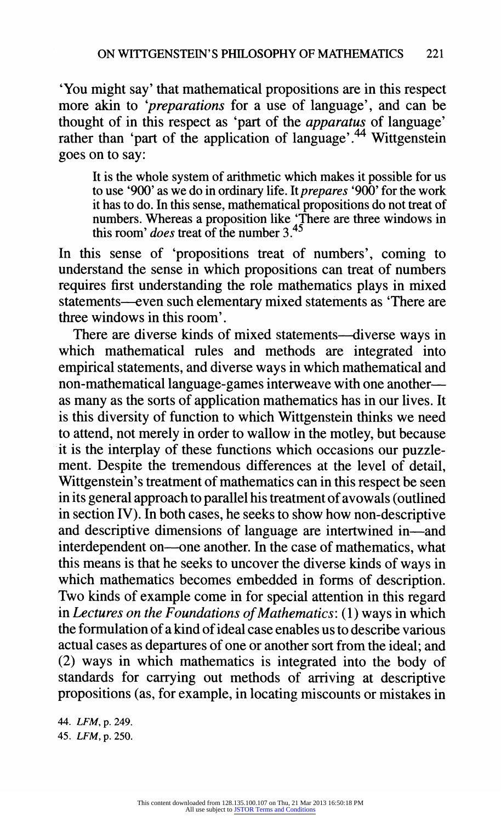**'You might say' that mathematical propositions are in this respect more akin to 'preparations for a use of language', and can be thought of in this respect as 'part of the apparatus of language'**  rather than 'part of the application of language'.<sup>44</sup> Wittgenstein **goes on to say:** 

**It is the whole system of arithmetic which makes it possible for us to use '900' as we do in ordinary life. It prepares '900' for the work it has to do. In this sense, mathematical propositions do not treat of numbers. Whereas a proposition like 'There are three windows in this room' does treat of the number 3.45** 

**In this sense of 'propositions treat of numbers', coming to understand the sense in which propositions can treat of numbers requires first understanding the role mathematics plays in mixed statements-even such elementary mixed statements as 'There are three windows in this room'.** 

**There are diverse kinds of mixed statements-diverse ways in which mathematical rules and methods are integrated into empirical statements, and diverse ways in which mathematical and non-mathematical language-games interweave with one anotheras many as the sorts of application mathematics has in our lives. It is this diversity of function to which Wittgenstein thinks we need to attend, not merely in order to wallow in the motley, but because it is the interplay of these functions which occasions our puzzlement. Despite the tremendous differences at the level of detail, Wittgenstein's treatment of mathematics can in this respect be seen in its general approach to parallel his treatment of avowals (outlined in section IV). In both cases, he seeks to show how non-descriptive and descriptive dimensions of language are intertwined in-and interdependent on-one another. In the case of mathematics, what this means is that he seeks to uncover the diverse kinds of ways in which mathematics becomes embedded in forms of description. Two kinds of example come in for special attention in this regard in Lectures on the Foundations of Mathematics: (1) ways in which the formulation of a kind of ideal case enables us to describe various actual cases as departures of one or another sort from the ideal; and (2) ways in which mathematics is integrated into the body of standards for carrying out methods of arriving at descriptive propositions (as, for example, in locating miscounts or mistakes in** 

**44. LFM, p. 249. 45. LFM, p. 250.**